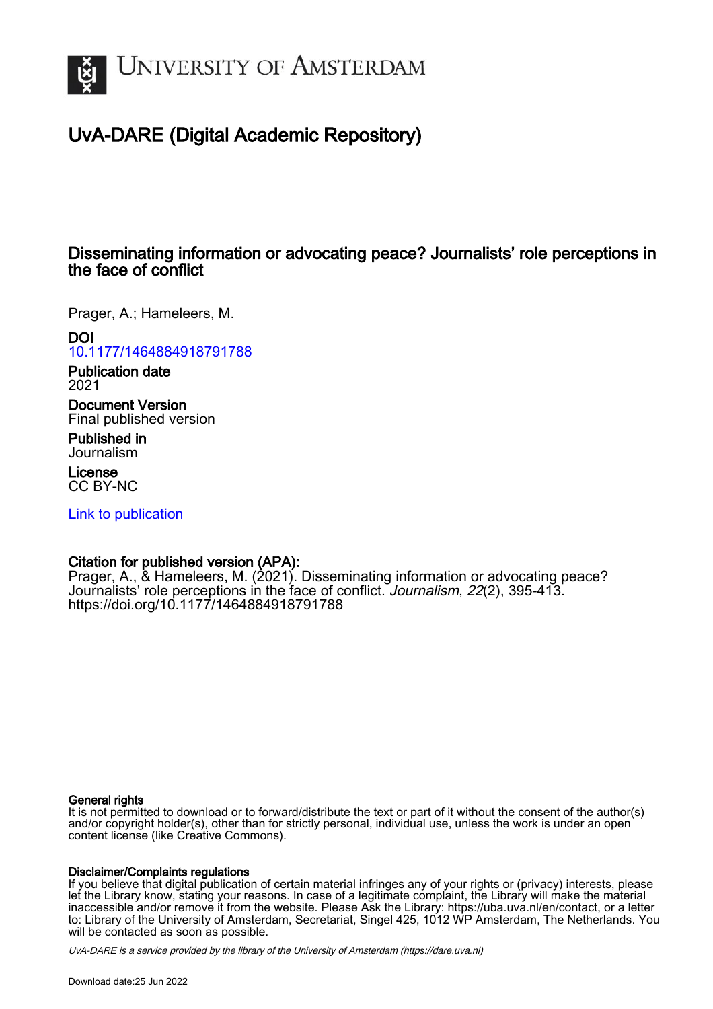

# UvA-DARE (Digital Academic Repository)

# Disseminating information or advocating peace? Journalists' role perceptions in the face of conflict

Prager, A.; Hameleers, M.

DOI

[10.1177/1464884918791788](https://doi.org/10.1177/1464884918791788)

Publication date 2021

Document Version Final published version

Published in Journalism

License CC BY-NC

[Link to publication](https://dare.uva.nl/personal/pure/en/publications/disseminating-information-or-advocating-peace-journalists-role-perceptions-in-the-face-of-conflict(0b5c4cea-df99-46a9-a73b-edb2c2d6a165).html)

## Citation for published version (APA):

Prager, A., & Hameleers, M. (2021). Disseminating information or advocating peace? Journalists' role perceptions in the face of conflict. Journalism, 22(2), 395-413. <https://doi.org/10.1177/1464884918791788>

#### General rights

It is not permitted to download or to forward/distribute the text or part of it without the consent of the author(s) and/or copyright holder(s), other than for strictly personal, individual use, unless the work is under an open content license (like Creative Commons).

### Disclaimer/Complaints regulations

If you believe that digital publication of certain material infringes any of your rights or (privacy) interests, please let the Library know, stating your reasons. In case of a legitimate complaint, the Library will make the material inaccessible and/or remove it from the website. Please Ask the Library: https://uba.uva.nl/en/contact, or a letter to: Library of the University of Amsterdam, Secretariat, Singel 425, 1012 WP Amsterdam, The Netherlands. You will be contacted as soon as possible.

UvA-DARE is a service provided by the library of the University of Amsterdam (http*s*://dare.uva.nl)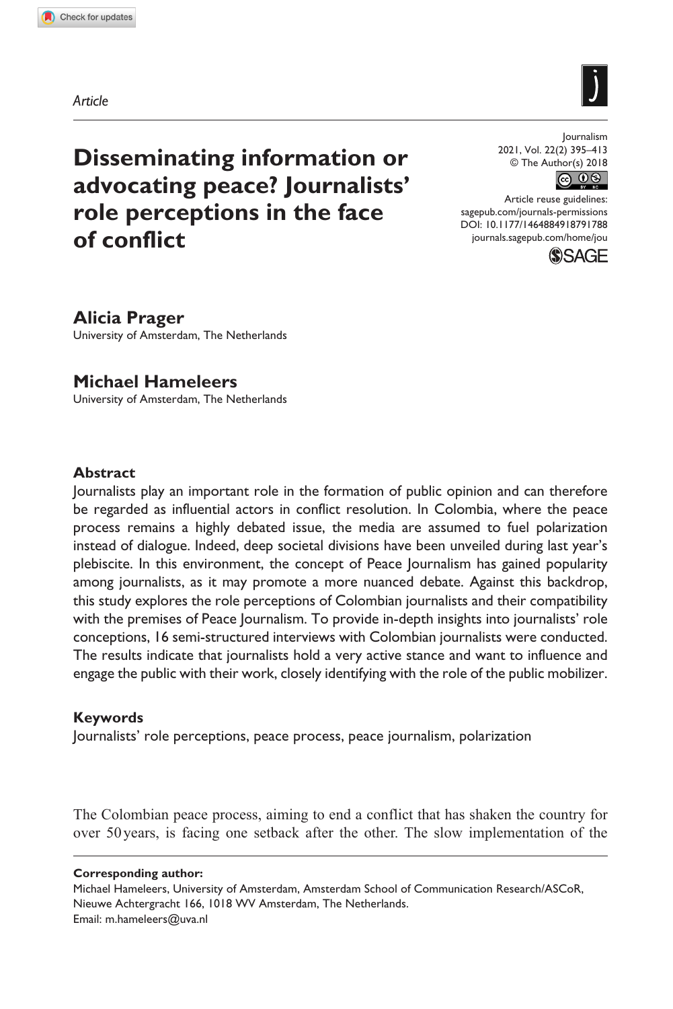**7917[88](http://crossmark.crossref.org/dialog/?doi=10.1177%2F1464884918791788&domain=pdf&date_stamp=2018-08-13)**JOU0010.1177/1464884918791788Journalism**Prager and Hameleers**

*Article*



# **Disseminating information or advocating peace? Journalists' role perceptions in the face of conflict**

Journalism 2021, Vol. 22(2) 395–413 © The Author(s) 2018



https://doi.org/10.1177/1464884918791788 DOI: 10.1177/1464884918791788 Article reuse guidelines: [sagepub.com/journals-permissions](https://uk.sagepub.com/en-gb/journals-permissions) [journals.sagepub.com/home/jou](https://journals.sagepub.com/home/jou)



#### **Alicia Prager** University of Amsterdam, The Netherlands

## **Michael Hameleers**

University of Amsterdam, The Netherlands

#### **Abstract**

Journalists play an important role in the formation of public opinion and can therefore be regarded as influential actors in conflict resolution. In Colombia, where the peace process remains a highly debated issue, the media are assumed to fuel polarization instead of dialogue. Indeed, deep societal divisions have been unveiled during last year's plebiscite. In this environment, the concept of Peace Journalism has gained popularity among journalists, as it may promote a more nuanced debate. Against this backdrop, this study explores the role perceptions of Colombian journalists and their compatibility with the premises of Peace Journalism. To provide in-depth insights into journalists' role conceptions, 16 semi-structured interviews with Colombian journalists were conducted. The results indicate that journalists hold a very active stance and want to influence and engage the public with their work, closely identifying with the role of the public mobilizer.

#### **Keywords**

Journalists' role perceptions, peace process, peace journalism, polarization

The Colombian peace process, aiming to end a conflict that has shaken the country for over 50years, is facing one setback after the other. The slow implementation of the

#### **Corresponding author:**

Michael Hameleers, University of Amsterdam, Amsterdam School of Communication Research/ASCoR, Nieuwe Achtergracht 166, 1018 WV Amsterdam, The Netherlands. Email: [m.hameleers@uva.nl](mailto:m.hameleers@uva.nl)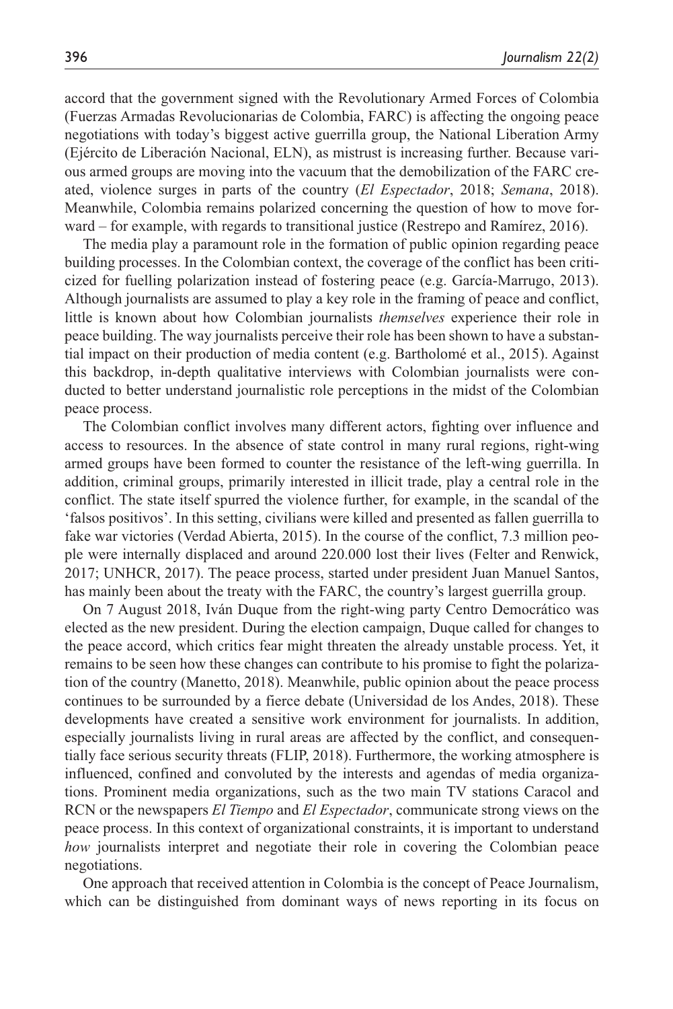accord that the government signed with the Revolutionary Armed Forces of Colombia (Fuerzas Armadas Revolucionarias de Colombia, FARC) is affecting the ongoing peace negotiations with today's biggest active guerrilla group, the National Liberation Army (Ejército de Liberación Nacional, ELN), as mistrust is increasing further. Because various armed groups are moving into the vacuum that the demobilization of the FARC created, violence surges in parts of the country (*El Espectador*, 2018; *Semana*, 2018). Meanwhile, Colombia remains polarized concerning the question of how to move forward – for example, with regards to transitional justice (Restrepo and Ramírez, 2016).

The media play a paramount role in the formation of public opinion regarding peace building processes. In the Colombian context, the coverage of the conflict has been criticized for fuelling polarization instead of fostering peace (e.g. García-Marrugo, 2013). Although journalists are assumed to play a key role in the framing of peace and conflict, little is known about how Colombian journalists *themselves* experience their role in peace building. The way journalists perceive their role has been shown to have a substantial impact on their production of media content (e.g. Bartholomé et al., 2015). Against this backdrop, in-depth qualitative interviews with Colombian journalists were conducted to better understand journalistic role perceptions in the midst of the Colombian peace process.

The Colombian conflict involves many different actors, fighting over influence and access to resources. In the absence of state control in many rural regions, right-wing armed groups have been formed to counter the resistance of the left-wing guerrilla. In addition, criminal groups, primarily interested in illicit trade, play a central role in the conflict. The state itself spurred the violence further, for example, in the scandal of the 'falsos positivos'. In this setting, civilians were killed and presented as fallen guerrilla to fake war victories (Verdad Abierta, 2015). In the course of the conflict, 7.3 million people were internally displaced and around 220.000 lost their lives (Felter and Renwick, 2017; UNHCR, 2017). The peace process, started under president Juan Manuel Santos, has mainly been about the treaty with the FARC, the country's largest guerrilla group.

On 7 August 2018, Iván Duque from the right-wing party Centro Democrático was elected as the new president. During the election campaign, Duque called for changes to the peace accord, which critics fear might threaten the already unstable process. Yet, it remains to be seen how these changes can contribute to his promise to fight the polarization of the country (Manetto, 2018). Meanwhile, public opinion about the peace process continues to be surrounded by a fierce debate (Universidad de los Andes, 2018). These developments have created a sensitive work environment for journalists. In addition, especially journalists living in rural areas are affected by the conflict, and consequentially face serious security threats (FLIP, 2018). Furthermore, the working atmosphere is influenced, confined and convoluted by the interests and agendas of media organizations. Prominent media organizations, such as the two main TV stations Caracol and RCN or the newspapers *El Tiempo* and *El Espectador*, communicate strong views on the peace process. In this context of organizational constraints, it is important to understand *how* journalists interpret and negotiate their role in covering the Colombian peace negotiations.

One approach that received attention in Colombia is the concept of Peace Journalism, which can be distinguished from dominant ways of news reporting in its focus on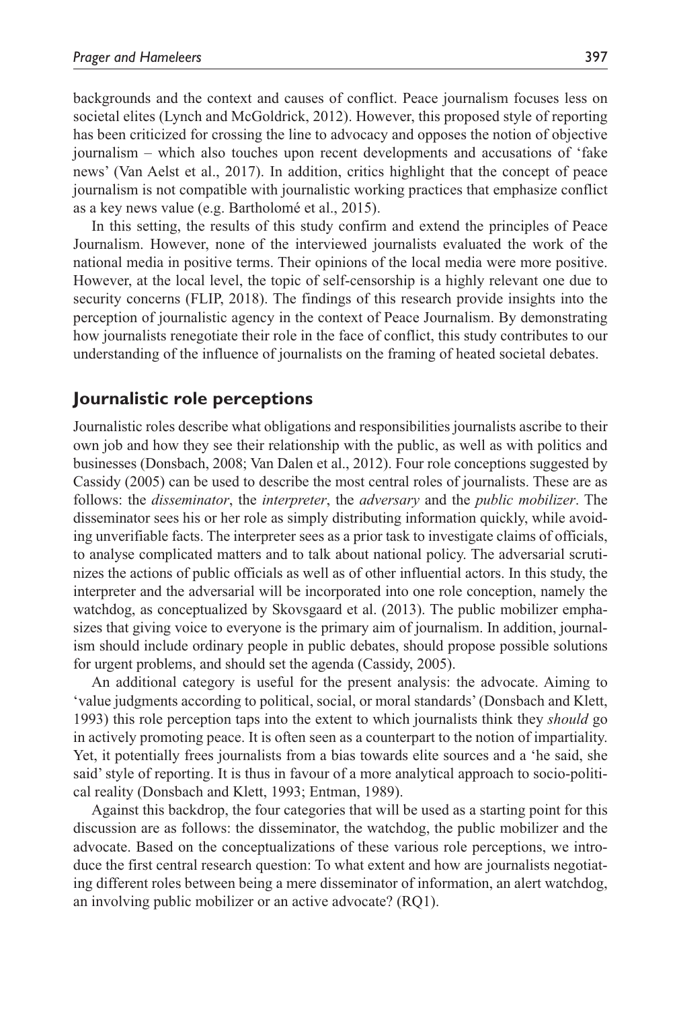backgrounds and the context and causes of conflict. Peace journalism focuses less on societal elites (Lynch and McGoldrick, 2012). However, this proposed style of reporting has been criticized for crossing the line to advocacy and opposes the notion of objective journalism – which also touches upon recent developments and accusations of 'fake news' (Van Aelst et al., 2017). In addition, critics highlight that the concept of peace journalism is not compatible with journalistic working practices that emphasize conflict as a key news value (e.g. Bartholomé et al., 2015).

In this setting, the results of this study confirm and extend the principles of Peace Journalism. However, none of the interviewed journalists evaluated the work of the national media in positive terms. Their opinions of the local media were more positive. However, at the local level, the topic of self-censorship is a highly relevant one due to security concerns (FLIP, 2018). The findings of this research provide insights into the perception of journalistic agency in the context of Peace Journalism. By demonstrating how journalists renegotiate their role in the face of conflict, this study contributes to our understanding of the influence of journalists on the framing of heated societal debates.

## **Journalistic role perceptions**

Journalistic roles describe what obligations and responsibilities journalists ascribe to their own job and how they see their relationship with the public, as well as with politics and businesses (Donsbach, 2008; Van Dalen et al., 2012). Four role conceptions suggested by Cassidy (2005) can be used to describe the most central roles of journalists. These are as follows: the *disseminator*, the *interpreter*, the *adversary* and the *public mobilizer*. The disseminator sees his or her role as simply distributing information quickly, while avoiding unverifiable facts. The interpreter sees as a prior task to investigate claims of officials, to analyse complicated matters and to talk about national policy. The adversarial scrutinizes the actions of public officials as well as of other influential actors. In this study, the interpreter and the adversarial will be incorporated into one role conception, namely the watchdog, as conceptualized by Skovsgaard et al. (2013). The public mobilizer emphasizes that giving voice to everyone is the primary aim of journalism. In addition, journalism should include ordinary people in public debates, should propose possible solutions for urgent problems, and should set the agenda (Cassidy, 2005).

An additional category is useful for the present analysis: the advocate. Aiming to 'value judgments according to political, social, or moral standards' (Donsbach and Klett, 1993) this role perception taps into the extent to which journalists think they *should* go in actively promoting peace. It is often seen as a counterpart to the notion of impartiality. Yet, it potentially frees journalists from a bias towards elite sources and a 'he said, she said' style of reporting. It is thus in favour of a more analytical approach to socio-political reality (Donsbach and Klett, 1993; Entman, 1989).

Against this backdrop, the four categories that will be used as a starting point for this discussion are as follows: the disseminator, the watchdog, the public mobilizer and the advocate. Based on the conceptualizations of these various role perceptions, we introduce the first central research question: To what extent and how are journalists negotiating different roles between being a mere disseminator of information, an alert watchdog, an involving public mobilizer or an active advocate? (RQ1).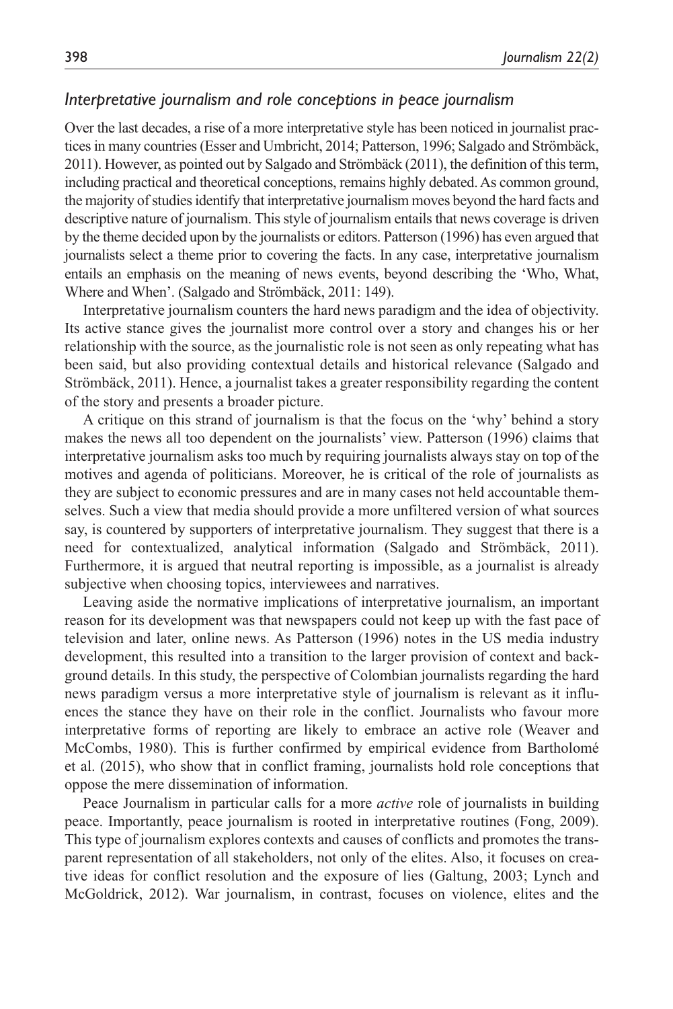#### *Interpretative journalism and role conceptions in peace journalism*

Over the last decades, a rise of a more interpretative style has been noticed in journalist practices in many countries (Esser and Umbricht, 2014; Patterson, 1996; Salgado and Strömbäck, 2011). However, as pointed out by Salgado and Strömbäck (2011), the definition of this term, including practical and theoretical conceptions, remains highly debated. As common ground, the majority of studies identify that interpretative journalism moves beyond the hard facts and descriptive nature of journalism. This style of journalism entails that news coverage is driven by the theme decided upon by the journalists or editors. Patterson (1996) has even argued that journalists select a theme prior to covering the facts. In any case, interpretative journalism entails an emphasis on the meaning of news events, beyond describing the 'Who, What, Where and When'. (Salgado and Strömbäck, 2011: 149).

Interpretative journalism counters the hard news paradigm and the idea of objectivity. Its active stance gives the journalist more control over a story and changes his or her relationship with the source, as the journalistic role is not seen as only repeating what has been said, but also providing contextual details and historical relevance (Salgado and Strömbäck, 2011). Hence, a journalist takes a greater responsibility regarding the content of the story and presents a broader picture.

A critique on this strand of journalism is that the focus on the 'why' behind a story makes the news all too dependent on the journalists' view. Patterson (1996) claims that interpretative journalism asks too much by requiring journalists always stay on top of the motives and agenda of politicians. Moreover, he is critical of the role of journalists as they are subject to economic pressures and are in many cases not held accountable themselves. Such a view that media should provide a more unfiltered version of what sources say, is countered by supporters of interpretative journalism. They suggest that there is a need for contextualized, analytical information (Salgado and Strömbäck, 2011). Furthermore, it is argued that neutral reporting is impossible, as a journalist is already subjective when choosing topics, interviewees and narratives.

Leaving aside the normative implications of interpretative journalism, an important reason for its development was that newspapers could not keep up with the fast pace of television and later, online news. As Patterson (1996) notes in the US media industry development, this resulted into a transition to the larger provision of context and background details. In this study, the perspective of Colombian journalists regarding the hard news paradigm versus a more interpretative style of journalism is relevant as it influences the stance they have on their role in the conflict. Journalists who favour more interpretative forms of reporting are likely to embrace an active role (Weaver and McCombs, 1980). This is further confirmed by empirical evidence from Bartholomé et al. (2015), who show that in conflict framing, journalists hold role conceptions that oppose the mere dissemination of information.

Peace Journalism in particular calls for a more *active* role of journalists in building peace. Importantly, peace journalism is rooted in interpretative routines (Fong, 2009). This type of journalism explores contexts and causes of conflicts and promotes the transparent representation of all stakeholders, not only of the elites. Also, it focuses on creative ideas for conflict resolution and the exposure of lies (Galtung, 2003; Lynch and McGoldrick, 2012). War journalism, in contrast, focuses on violence, elites and the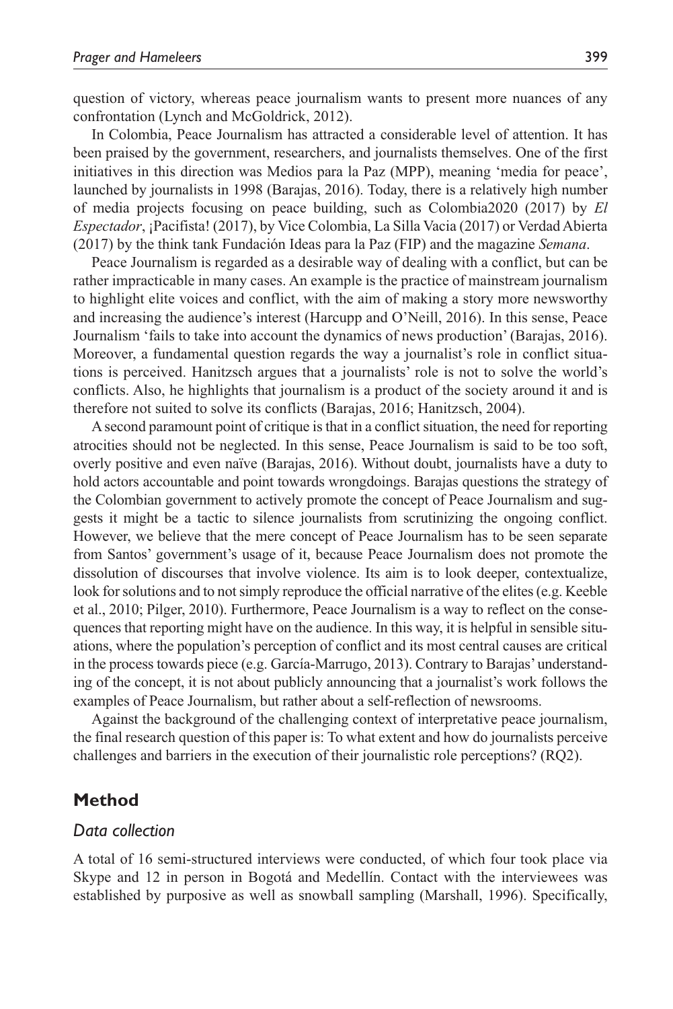question of victory, whereas peace journalism wants to present more nuances of any confrontation (Lynch and McGoldrick, 2012).

In Colombia, Peace Journalism has attracted a considerable level of attention. It has been praised by the government, researchers, and journalists themselves. One of the first initiatives in this direction was Medios para la Paz (MPP), meaning 'media for peace', launched by journalists in 1998 (Barajas, 2016). Today, there is a relatively high number of media projects focusing on peace building, such as Colombia2020 (2017) by *El Espectador*, ¡Pacifista! (2017), by Vice Colombia, La Silla Vacia (2017) or Verdad Abierta (2017) by the think tank Fundación Ideas para la Paz (FIP) and the magazine *Semana*.

Peace Journalism is regarded as a desirable way of dealing with a conflict, but can be rather impracticable in many cases. An example is the practice of mainstream journalism to highlight elite voices and conflict, with the aim of making a story more newsworthy and increasing the audience's interest (Harcupp and O'Neill, 2016). In this sense, Peace Journalism 'fails to take into account the dynamics of news production' (Barajas, 2016). Moreover, a fundamental question regards the way a journalist's role in conflict situations is perceived. Hanitzsch argues that a journalists' role is not to solve the world's conflicts. Also, he highlights that journalism is a product of the society around it and is therefore not suited to solve its conflicts (Barajas, 2016; Hanitzsch, 2004).

A second paramount point of critique is that in a conflict situation, the need for reporting atrocities should not be neglected. In this sense, Peace Journalism is said to be too soft, overly positive and even naïve (Barajas, 2016). Without doubt, journalists have a duty to hold actors accountable and point towards wrongdoings. Barajas questions the strategy of the Colombian government to actively promote the concept of Peace Journalism and suggests it might be a tactic to silence journalists from scrutinizing the ongoing conflict. However, we believe that the mere concept of Peace Journalism has to be seen separate from Santos' government's usage of it, because Peace Journalism does not promote the dissolution of discourses that involve violence. Its aim is to look deeper, contextualize, look for solutions and to not simply reproduce the official narrative of the elites (e.g. Keeble et al., 2010; Pilger, 2010). Furthermore, Peace Journalism is a way to reflect on the consequences that reporting might have on the audience. In this way, it is helpful in sensible situations, where the population's perception of conflict and its most central causes are critical in the process towards piece (e.g. García-Marrugo, 2013). Contrary to Barajas' understanding of the concept, it is not about publicly announcing that a journalist's work follows the examples of Peace Journalism, but rather about a self-reflection of newsrooms.

Against the background of the challenging context of interpretative peace journalism, the final research question of this paper is: To what extent and how do journalists perceive challenges and barriers in the execution of their journalistic role perceptions? (RQ2).

## **Method**

#### *Data collection*

A total of 16 semi-structured interviews were conducted, of which four took place via Skype and 12 in person in Bogotá and Medellín. Contact with the interviewees was established by purposive as well as snowball sampling (Marshall, 1996). Specifically,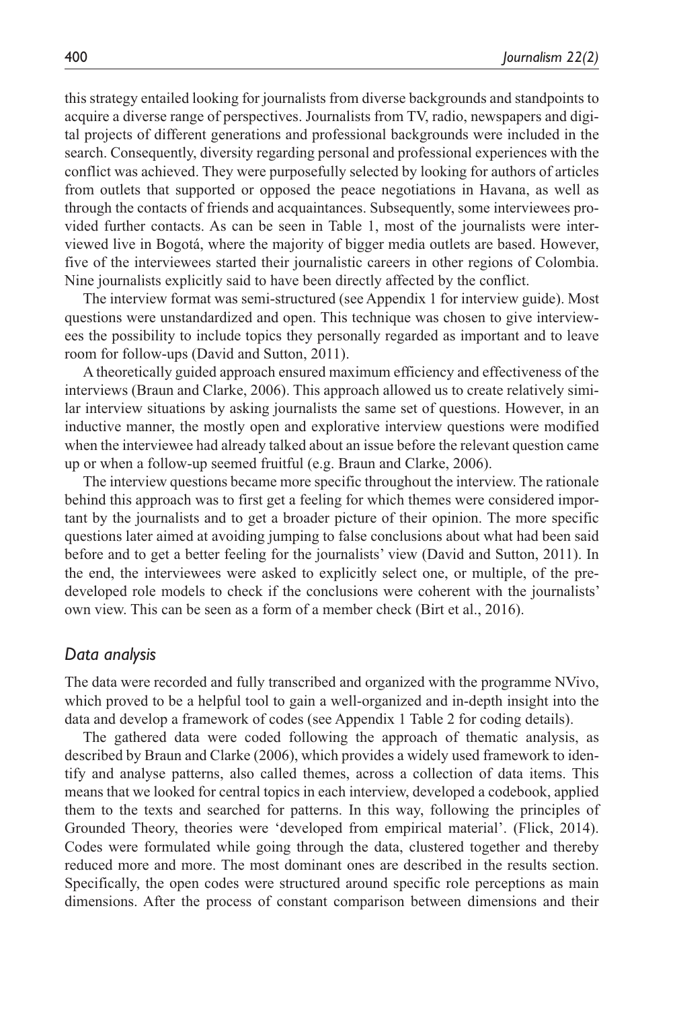this strategy entailed looking for journalists from diverse backgrounds and standpoints to acquire a diverse range of perspectives. Journalists from TV, radio, newspapers and digital projects of different generations and professional backgrounds were included in the search. Consequently, diversity regarding personal and professional experiences with the conflict was achieved. They were purposefully selected by looking for authors of articles from outlets that supported or opposed the peace negotiations in Havana, as well as through the contacts of friends and acquaintances. Subsequently, some interviewees provided further contacts. As can be seen in Table 1, most of the journalists were interviewed live in Bogotá, where the majority of bigger media outlets are based. However, five of the interviewees started their journalistic careers in other regions of Colombia. Nine journalists explicitly said to have been directly affected by the conflict.

The interview format was semi-structured (see Appendix 1 for interview guide). Most questions were unstandardized and open. This technique was chosen to give interviewees the possibility to include topics they personally regarded as important and to leave room for follow-ups (David and Sutton, 2011).

A theoretically guided approach ensured maximum efficiency and effectiveness of the interviews (Braun and Clarke, 2006). This approach allowed us to create relatively similar interview situations by asking journalists the same set of questions. However, in an inductive manner, the mostly open and explorative interview questions were modified when the interviewee had already talked about an issue before the relevant question came up or when a follow-up seemed fruitful (e.g. Braun and Clarke, 2006).

The interview questions became more specific throughout the interview. The rationale behind this approach was to first get a feeling for which themes were considered important by the journalists and to get a broader picture of their opinion. The more specific questions later aimed at avoiding jumping to false conclusions about what had been said before and to get a better feeling for the journalists' view (David and Sutton, 2011). In the end, the interviewees were asked to explicitly select one, or multiple, of the predeveloped role models to check if the conclusions were coherent with the journalists' own view. This can be seen as a form of a member check (Birt et al., 2016).

#### *Data analysis*

The data were recorded and fully transcribed and organized with the programme NVivo, which proved to be a helpful tool to gain a well-organized and in-depth insight into the data and develop a framework of codes (see Appendix 1 Table 2 for coding details).

The gathered data were coded following the approach of thematic analysis, as described by Braun and Clarke (2006), which provides a widely used framework to identify and analyse patterns, also called themes, across a collection of data items. This means that we looked for central topics in each interview, developed a codebook, applied them to the texts and searched for patterns. In this way, following the principles of Grounded Theory, theories were 'developed from empirical material'. (Flick, 2014). Codes were formulated while going through the data, clustered together and thereby reduced more and more. The most dominant ones are described in the results section. Specifically, the open codes were structured around specific role perceptions as main dimensions. After the process of constant comparison between dimensions and their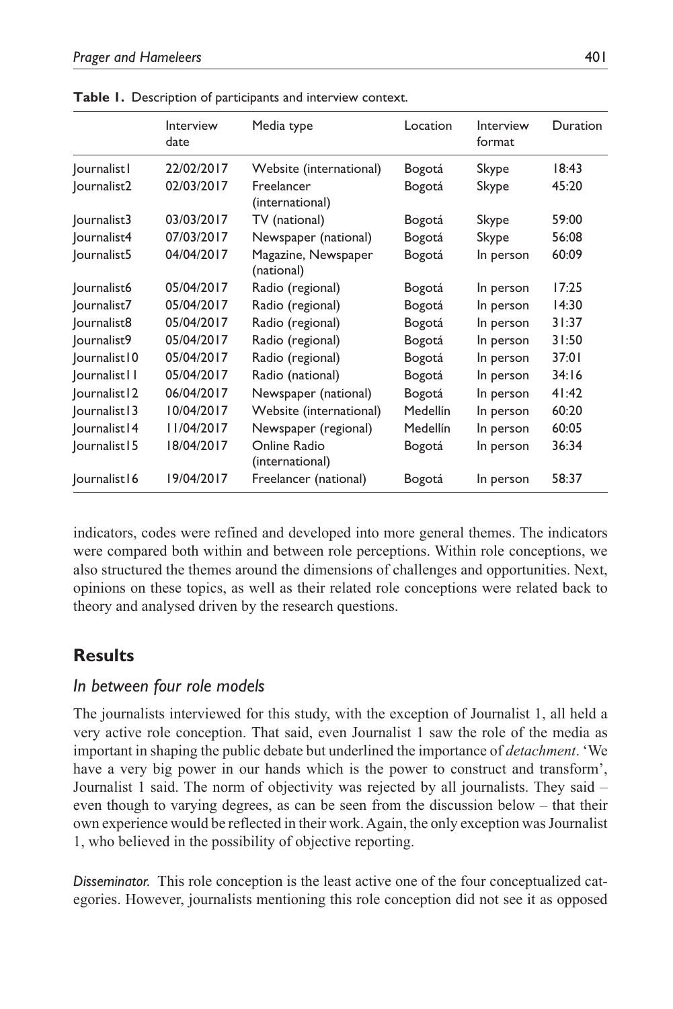|                    | Interview<br>date | Media type                        | Location | Interview<br>format | Duration |
|--------------------|-------------------|-----------------------------------|----------|---------------------|----------|
| <b>Journalist1</b> | 22/02/2017        | Website (international)           | Bogotá   | Skype               | 18:43    |
| Journalist2        | 02/03/2017        | Freelancer<br>(international)     | Bogotá   | Skype               | 45:20    |
| Journalist3        | 03/03/2017        | TV (national)                     | Bogotá   | Skype               | 59:00    |
| Journalist4        | 07/03/2017        | Newspaper (national)              | Bogotá   | Skype               | 56:08    |
| Journalist5        | 04/04/2017        | Magazine, Newspaper<br>(national) | Bogotá   | In person           | 60:09    |
| Journalist6        | 05/04/2017        | Radio (regional)                  | Bogotá   | In person           | 17:25    |
| Journalist7        | 05/04/2017        | Radio (regional)                  | Bogotá   | In person           | 14:30    |
| Journalist8        | 05/04/2017        | Radio (regional)                  | Bogotá   | In person           | 31:37    |
| Journalist9        | 05/04/2017        | Radio (regional)                  | Bogotá   | In person           | 31:50    |
| Journalist 10      | 05/04/2017        | Radio (regional)                  | Bogotá   | In person           | 37:01    |
| ournalist          | 05/04/2017        | Radio (national)                  | Bogotá   | In person           | 34:16    |
| Journalist12       | 06/04/2017        | Newspaper (national)              | Bogotá   | In person           | 41:42    |
| Journalist13       | 10/04/2017        | Website (international)           | Medellín | In person           | 60:20    |
| Journalist 14      | 11/04/2017        | Newspaper (regional)              | Medellín | In person           | 60:05    |
| Journalist 15      | 18/04/2017        | Online Radio<br>(international)   | Bogotá   | In person           | 36:34    |
| lournalist 16      | 19/04/2017        | Freelancer (national)             | Bogotá   | In person           | 58:37    |

**Table 1.** Description of participants and interview context.

indicators, codes were refined and developed into more general themes. The indicators were compared both within and between role perceptions. Within role conceptions, we also structured the themes around the dimensions of challenges and opportunities. Next, opinions on these topics, as well as their related role conceptions were related back to theory and analysed driven by the research questions.

## **Results**

## *In between four role models*

The journalists interviewed for this study, with the exception of Journalist 1, all held a very active role conception. That said, even Journalist 1 saw the role of the media as important in shaping the public debate but underlined the importance of *detachment*. 'We have a very big power in our hands which is the power to construct and transform', Journalist 1 said. The norm of objectivity was rejected by all journalists. They said – even though to varying degrees, as can be seen from the discussion below – that their own experience would be reflected in their work. Again, the only exception was Journalist 1, who believed in the possibility of objective reporting.

*Disseminator.* This role conception is the least active one of the four conceptualized categories. However, journalists mentioning this role conception did not see it as opposed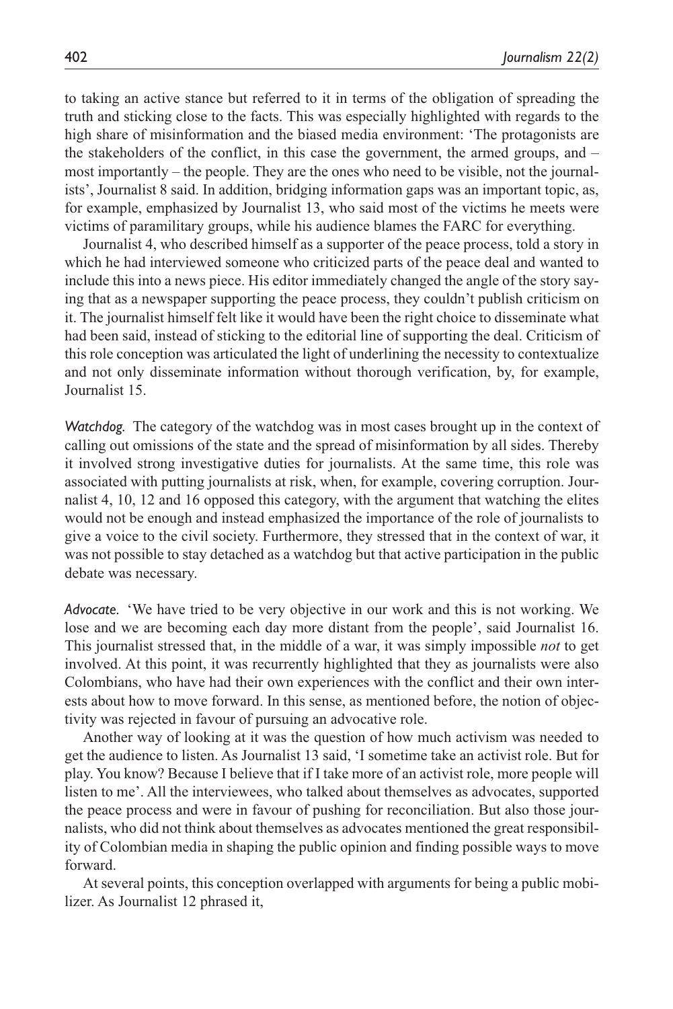to taking an active stance but referred to it in terms of the obligation of spreading the truth and sticking close to the facts. This was especially highlighted with regards to the high share of misinformation and the biased media environment: 'The protagonists are the stakeholders of the conflict, in this case the government, the armed groups, and – most importantly – the people. They are the ones who need to be visible, not the journalists', Journalist 8 said. In addition, bridging information gaps was an important topic, as, for example, emphasized by Journalist 13, who said most of the victims he meets were victims of paramilitary groups, while his audience blames the FARC for everything.

Journalist 4, who described himself as a supporter of the peace process, told a story in which he had interviewed someone who criticized parts of the peace deal and wanted to include this into a news piece. His editor immediately changed the angle of the story saying that as a newspaper supporting the peace process, they couldn't publish criticism on it. The journalist himself felt like it would have been the right choice to disseminate what had been said, instead of sticking to the editorial line of supporting the deal. Criticism of this role conception was articulated the light of underlining the necessity to contextualize and not only disseminate information without thorough verification, by, for example, Journalist 15.

*Watchdog.* The category of the watchdog was in most cases brought up in the context of calling out omissions of the state and the spread of misinformation by all sides. Thereby it involved strong investigative duties for journalists. At the same time, this role was associated with putting journalists at risk, when, for example, covering corruption. Journalist 4, 10, 12 and 16 opposed this category, with the argument that watching the elites would not be enough and instead emphasized the importance of the role of journalists to give a voice to the civil society. Furthermore, they stressed that in the context of war, it was not possible to stay detached as a watchdog but that active participation in the public debate was necessary.

*Advocate.* 'We have tried to be very objective in our work and this is not working. We lose and we are becoming each day more distant from the people', said Journalist 16. This journalist stressed that, in the middle of a war, it was simply impossible *not* to get involved. At this point, it was recurrently highlighted that they as journalists were also Colombians, who have had their own experiences with the conflict and their own interests about how to move forward. In this sense, as mentioned before, the notion of objectivity was rejected in favour of pursuing an advocative role.

Another way of looking at it was the question of how much activism was needed to get the audience to listen. As Journalist 13 said, 'I sometime take an activist role. But for play. You know? Because I believe that if I take more of an activist role, more people will listen to me'. All the interviewees, who talked about themselves as advocates, supported the peace process and were in favour of pushing for reconciliation. But also those journalists, who did not think about themselves as advocates mentioned the great responsibility of Colombian media in shaping the public opinion and finding possible ways to move forward.

At several points, this conception overlapped with arguments for being a public mobilizer. As Journalist 12 phrased it,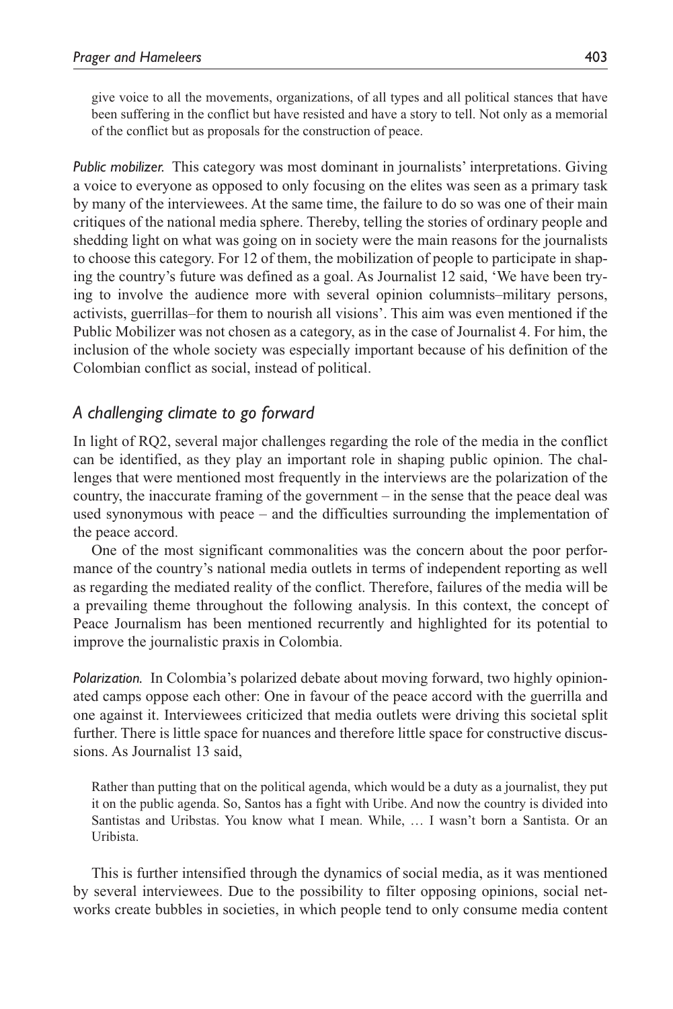give voice to all the movements, organizations, of all types and all political stances that have been suffering in the conflict but have resisted and have a story to tell. Not only as a memorial of the conflict but as proposals for the construction of peace.

*Public mobilizer.* This category was most dominant in journalists' interpretations. Giving a voice to everyone as opposed to only focusing on the elites was seen as a primary task by many of the interviewees. At the same time, the failure to do so was one of their main critiques of the national media sphere. Thereby, telling the stories of ordinary people and shedding light on what was going on in society were the main reasons for the journalists to choose this category. For 12 of them, the mobilization of people to participate in shaping the country's future was defined as a goal. As Journalist 12 said, 'We have been trying to involve the audience more with several opinion columnists–military persons, activists, guerrillas–for them to nourish all visions'. This aim was even mentioned if the Public Mobilizer was not chosen as a category, as in the case of Journalist 4. For him, the inclusion of the whole society was especially important because of his definition of the Colombian conflict as social, instead of political.

## *A challenging climate to go forward*

In light of RQ2, several major challenges regarding the role of the media in the conflict can be identified, as they play an important role in shaping public opinion. The challenges that were mentioned most frequently in the interviews are the polarization of the country, the inaccurate framing of the government – in the sense that the peace deal was used synonymous with peace – and the difficulties surrounding the implementation of the peace accord.

One of the most significant commonalities was the concern about the poor performance of the country's national media outlets in terms of independent reporting as well as regarding the mediated reality of the conflict. Therefore, failures of the media will be a prevailing theme throughout the following analysis. In this context, the concept of Peace Journalism has been mentioned recurrently and highlighted for its potential to improve the journalistic praxis in Colombia.

*Polarization.* In Colombia's polarized debate about moving forward, two highly opinionated camps oppose each other: One in favour of the peace accord with the guerrilla and one against it. Interviewees criticized that media outlets were driving this societal split further. There is little space for nuances and therefore little space for constructive discussions. As Journalist 13 said,

Rather than putting that on the political agenda, which would be a duty as a journalist, they put it on the public agenda. So, Santos has a fight with Uribe. And now the country is divided into Santistas and Uribstas. You know what I mean. While, … I wasn't born a Santista. Or an Uribista.

This is further intensified through the dynamics of social media, as it was mentioned by several interviewees. Due to the possibility to filter opposing opinions, social networks create bubbles in societies, in which people tend to only consume media content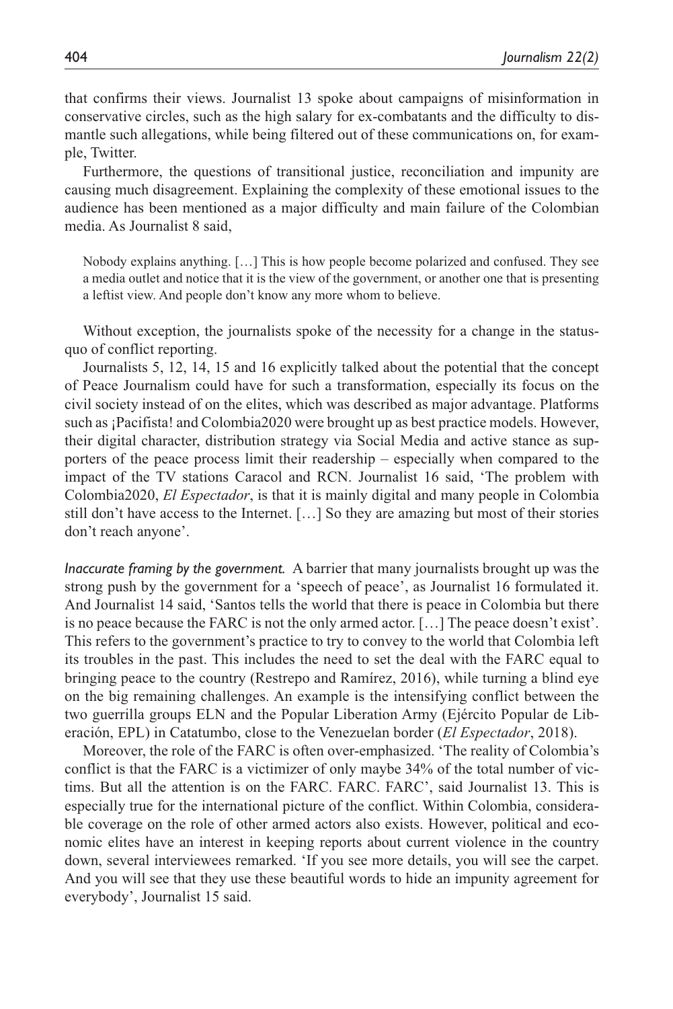that confirms their views. Journalist 13 spoke about campaigns of misinformation in conservative circles, such as the high salary for ex-combatants and the difficulty to dismantle such allegations, while being filtered out of these communications on, for example, Twitter.

Furthermore, the questions of transitional justice, reconciliation and impunity are causing much disagreement. Explaining the complexity of these emotional issues to the audience has been mentioned as a major difficulty and main failure of the Colombian media. As Journalist 8 said,

Nobody explains anything. […] This is how people become polarized and confused. They see a media outlet and notice that it is the view of the government, or another one that is presenting a leftist view. And people don't know any more whom to believe.

Without exception, the journalists spoke of the necessity for a change in the statusquo of conflict reporting.

Journalists 5, 12, 14, 15 and 16 explicitly talked about the potential that the concept of Peace Journalism could have for such a transformation, especially its focus on the civil society instead of on the elites, which was described as major advantage. Platforms such as ¡Pacifista! and Colombia2020 were brought up as best practice models. However, their digital character, distribution strategy via Social Media and active stance as supporters of the peace process limit their readership – especially when compared to the impact of the TV stations Caracol and RCN. Journalist 16 said, 'The problem with Colombia2020, *El Espectador*, is that it is mainly digital and many people in Colombia still don't have access to the Internet. […] So they are amazing but most of their stories don't reach anyone'.

*Inaccurate framing by the government.* A barrier that many journalists brought up was the strong push by the government for a 'speech of peace', as Journalist 16 formulated it. And Journalist 14 said, 'Santos tells the world that there is peace in Colombia but there is no peace because the FARC is not the only armed actor. […] The peace doesn't exist'. This refers to the government's practice to try to convey to the world that Colombia left its troubles in the past. This includes the need to set the deal with the FARC equal to bringing peace to the country (Restrepo and Ramírez, 2016), while turning a blind eye on the big remaining challenges. An example is the intensifying conflict between the two guerrilla groups ELN and the Popular Liberation Army (Ejército Popular de Liberación, EPL) in Catatumbo, close to the Venezuelan border (*El Espectador*, 2018).

Moreover, the role of the FARC is often over-emphasized. 'The reality of Colombia's conflict is that the FARC is a victimizer of only maybe 34% of the total number of victims. But all the attention is on the FARC. FARC. FARC', said Journalist 13. This is especially true for the international picture of the conflict. Within Colombia, considerable coverage on the role of other armed actors also exists. However, political and economic elites have an interest in keeping reports about current violence in the country down, several interviewees remarked. 'If you see more details, you will see the carpet. And you will see that they use these beautiful words to hide an impunity agreement for everybody', Journalist 15 said.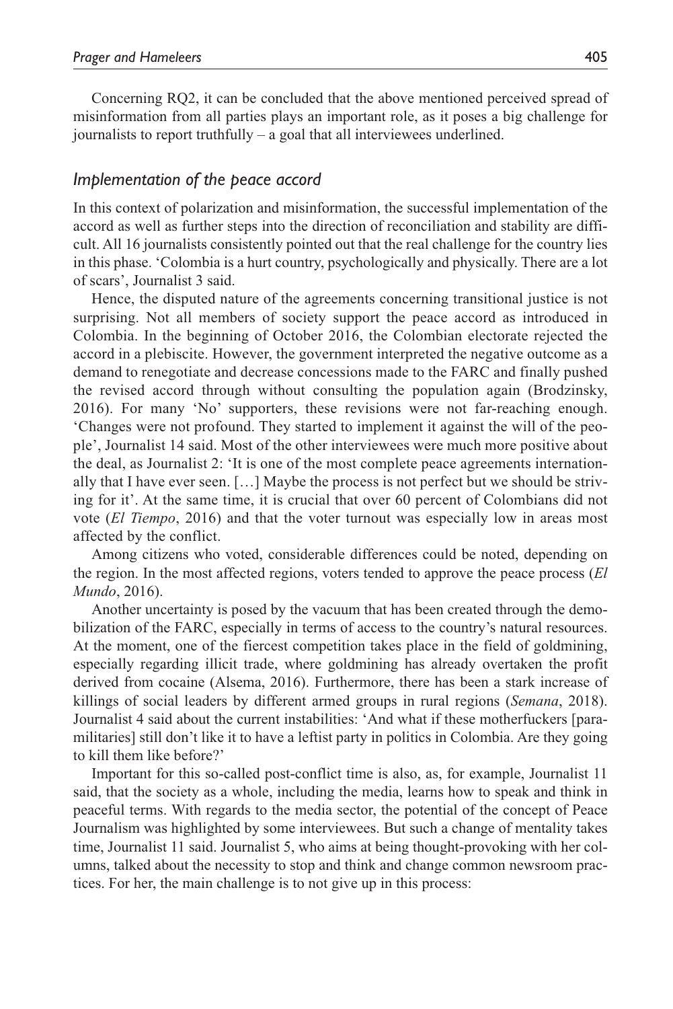Concerning RQ2, it can be concluded that the above mentioned perceived spread of misinformation from all parties plays an important role, as it poses a big challenge for journalists to report truthfully – a goal that all interviewees underlined.

#### *Implementation of the peace accord*

In this context of polarization and misinformation, the successful implementation of the accord as well as further steps into the direction of reconciliation and stability are difficult. All 16 journalists consistently pointed out that the real challenge for the country lies in this phase. 'Colombia is a hurt country, psychologically and physically. There are a lot of scars', Journalist 3 said.

Hence, the disputed nature of the agreements concerning transitional justice is not surprising. Not all members of society support the peace accord as introduced in Colombia. In the beginning of October 2016, the Colombian electorate rejected the accord in a plebiscite. However, the government interpreted the negative outcome as a demand to renegotiate and decrease concessions made to the FARC and finally pushed the revised accord through without consulting the population again (Brodzinsky, 2016). For many 'No' supporters, these revisions were not far-reaching enough. 'Changes were not profound. They started to implement it against the will of the people', Journalist 14 said. Most of the other interviewees were much more positive about the deal, as Journalist 2: 'It is one of the most complete peace agreements internationally that I have ever seen. […] Maybe the process is not perfect but we should be striving for it'. At the same time, it is crucial that over 60 percent of Colombians did not vote (*El Tiempo*, 2016) and that the voter turnout was especially low in areas most affected by the conflict.

Among citizens who voted, considerable differences could be noted, depending on the region. In the most affected regions, voters tended to approve the peace process (*El Mundo*, 2016).

Another uncertainty is posed by the vacuum that has been created through the demobilization of the FARC, especially in terms of access to the country's natural resources. At the moment, one of the fiercest competition takes place in the field of goldmining, especially regarding illicit trade, where goldmining has already overtaken the profit derived from cocaine (Alsema, 2016). Furthermore, there has been a stark increase of killings of social leaders by different armed groups in rural regions (*Semana*, 2018). Journalist 4 said about the current instabilities: 'And what if these motherfuckers [paramilitaries] still don't like it to have a leftist party in politics in Colombia. Are they going to kill them like before?'

Important for this so-called post-conflict time is also, as, for example, Journalist 11 said, that the society as a whole, including the media, learns how to speak and think in peaceful terms. With regards to the media sector, the potential of the concept of Peace Journalism was highlighted by some interviewees. But such a change of mentality takes time, Journalist 11 said. Journalist 5, who aims at being thought-provoking with her columns, talked about the necessity to stop and think and change common newsroom practices. For her, the main challenge is to not give up in this process: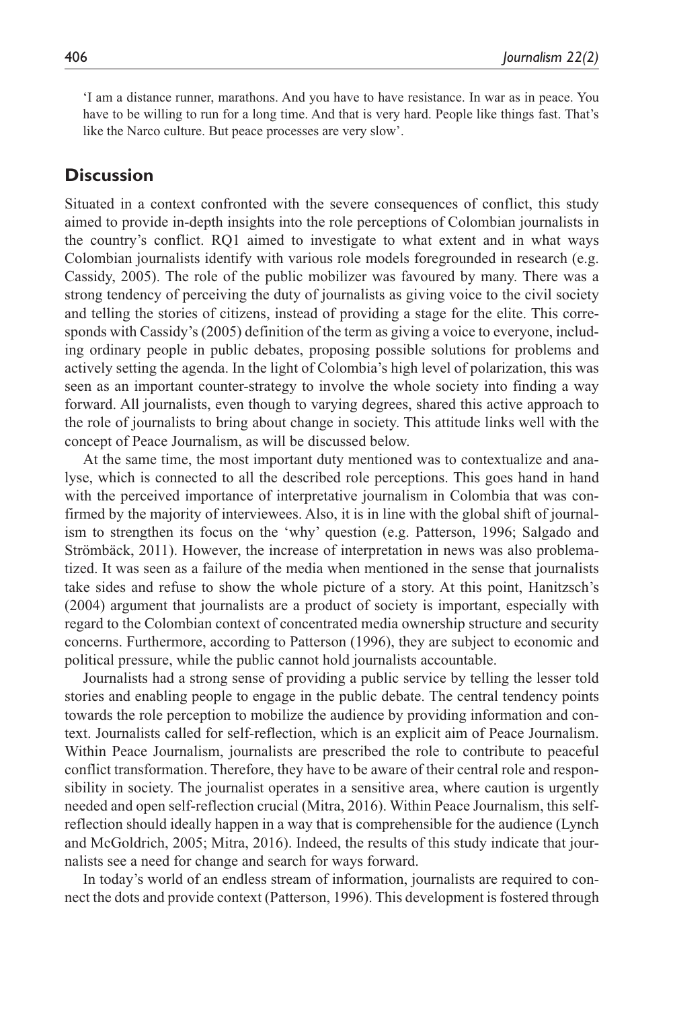'I am a distance runner, marathons. And you have to have resistance. In war as in peace. You have to be willing to run for a long time. And that is very hard. People like things fast. That's like the Narco culture. But peace processes are very slow'.

## **Discussion**

Situated in a context confronted with the severe consequences of conflict, this study aimed to provide in-depth insights into the role perceptions of Colombian journalists in the country's conflict. RQ1 aimed to investigate to what extent and in what ways Colombian journalists identify with various role models foregrounded in research (e.g. Cassidy, 2005). The role of the public mobilizer was favoured by many. There was a strong tendency of perceiving the duty of journalists as giving voice to the civil society and telling the stories of citizens, instead of providing a stage for the elite. This corresponds with Cassidy's (2005) definition of the term as giving a voice to everyone, including ordinary people in public debates, proposing possible solutions for problems and actively setting the agenda. In the light of Colombia's high level of polarization, this was seen as an important counter-strategy to involve the whole society into finding a way forward. All journalists, even though to varying degrees, shared this active approach to the role of journalists to bring about change in society. This attitude links well with the concept of Peace Journalism, as will be discussed below.

At the same time, the most important duty mentioned was to contextualize and analyse, which is connected to all the described role perceptions. This goes hand in hand with the perceived importance of interpretative journalism in Colombia that was confirmed by the majority of interviewees. Also, it is in line with the global shift of journalism to strengthen its focus on the 'why' question (e.g. Patterson, 1996; Salgado and Strömbäck, 2011). However, the increase of interpretation in news was also problematized. It was seen as a failure of the media when mentioned in the sense that journalists take sides and refuse to show the whole picture of a story. At this point, Hanitzsch's (2004) argument that journalists are a product of society is important, especially with regard to the Colombian context of concentrated media ownership structure and security concerns. Furthermore, according to Patterson (1996), they are subject to economic and political pressure, while the public cannot hold journalists accountable.

Journalists had a strong sense of providing a public service by telling the lesser told stories and enabling people to engage in the public debate. The central tendency points towards the role perception to mobilize the audience by providing information and context. Journalists called for self-reflection, which is an explicit aim of Peace Journalism. Within Peace Journalism, journalists are prescribed the role to contribute to peaceful conflict transformation. Therefore, they have to be aware of their central role and responsibility in society. The journalist operates in a sensitive area, where caution is urgently needed and open self-reflection crucial (Mitra, 2016). Within Peace Journalism, this selfreflection should ideally happen in a way that is comprehensible for the audience (Lynch and McGoldrich, 2005; Mitra, 2016). Indeed, the results of this study indicate that journalists see a need for change and search for ways forward.

In today's world of an endless stream of information, journalists are required to connect the dots and provide context (Patterson, 1996). This development is fostered through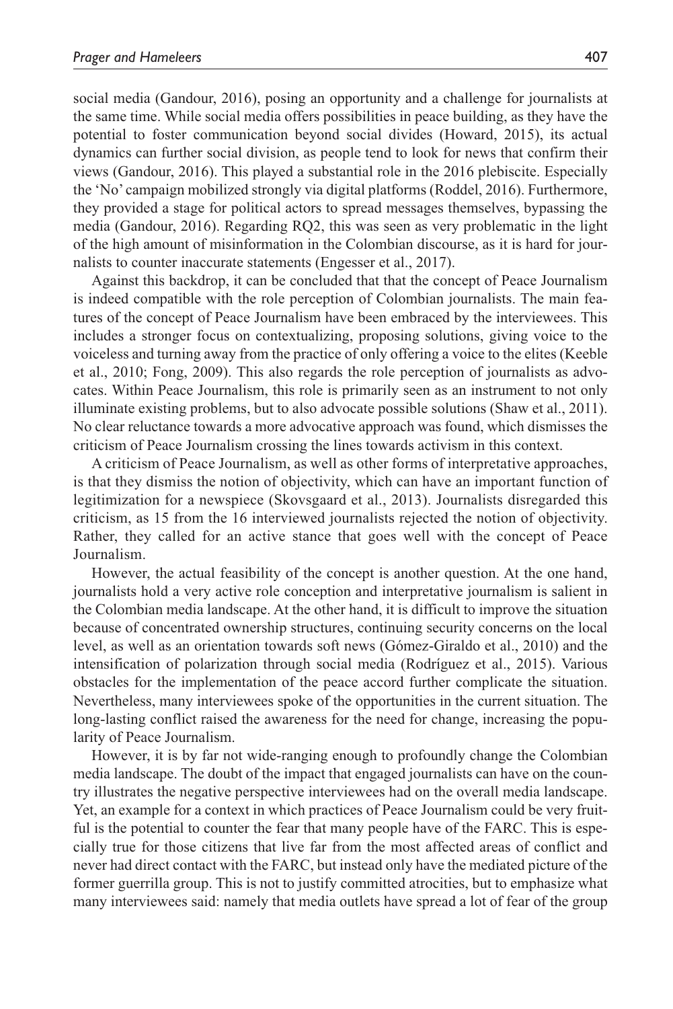social media (Gandour, 2016), posing an opportunity and a challenge for journalists at the same time. While social media offers possibilities in peace building, as they have the potential to foster communication beyond social divides (Howard, 2015), its actual dynamics can further social division, as people tend to look for news that confirm their views (Gandour, 2016). This played a substantial role in the 2016 plebiscite. Especially the 'No' campaign mobilized strongly via digital platforms (Roddel, 2016). Furthermore, they provided a stage for political actors to spread messages themselves, bypassing the media (Gandour, 2016). Regarding RQ2, this was seen as very problematic in the light of the high amount of misinformation in the Colombian discourse, as it is hard for journalists to counter inaccurate statements (Engesser et al., 2017).

Against this backdrop, it can be concluded that that the concept of Peace Journalism is indeed compatible with the role perception of Colombian journalists. The main features of the concept of Peace Journalism have been embraced by the interviewees. This includes a stronger focus on contextualizing, proposing solutions, giving voice to the voiceless and turning away from the practice of only offering a voice to the elites (Keeble et al., 2010; Fong, 2009). This also regards the role perception of journalists as advocates. Within Peace Journalism, this role is primarily seen as an instrument to not only illuminate existing problems, but to also advocate possible solutions (Shaw et al., 2011). No clear reluctance towards a more advocative approach was found, which dismisses the criticism of Peace Journalism crossing the lines towards activism in this context.

A criticism of Peace Journalism, as well as other forms of interpretative approaches, is that they dismiss the notion of objectivity, which can have an important function of legitimization for a newspiece (Skovsgaard et al., 2013). Journalists disregarded this criticism, as 15 from the 16 interviewed journalists rejected the notion of objectivity. Rather, they called for an active stance that goes well with the concept of Peace Journalism.

However, the actual feasibility of the concept is another question. At the one hand, journalists hold a very active role conception and interpretative journalism is salient in the Colombian media landscape. At the other hand, it is difficult to improve the situation because of concentrated ownership structures, continuing security concerns on the local level, as well as an orientation towards soft news (Gómez-Giraldo et al., 2010) and the intensification of polarization through social media (Rodríguez et al., 2015). Various obstacles for the implementation of the peace accord further complicate the situation. Nevertheless, many interviewees spoke of the opportunities in the current situation. The long-lasting conflict raised the awareness for the need for change, increasing the popularity of Peace Journalism.

However, it is by far not wide-ranging enough to profoundly change the Colombian media landscape. The doubt of the impact that engaged journalists can have on the country illustrates the negative perspective interviewees had on the overall media landscape. Yet, an example for a context in which practices of Peace Journalism could be very fruitful is the potential to counter the fear that many people have of the FARC. This is especially true for those citizens that live far from the most affected areas of conflict and never had direct contact with the FARC, but instead only have the mediated picture of the former guerrilla group. This is not to justify committed atrocities, but to emphasize what many interviewees said: namely that media outlets have spread a lot of fear of the group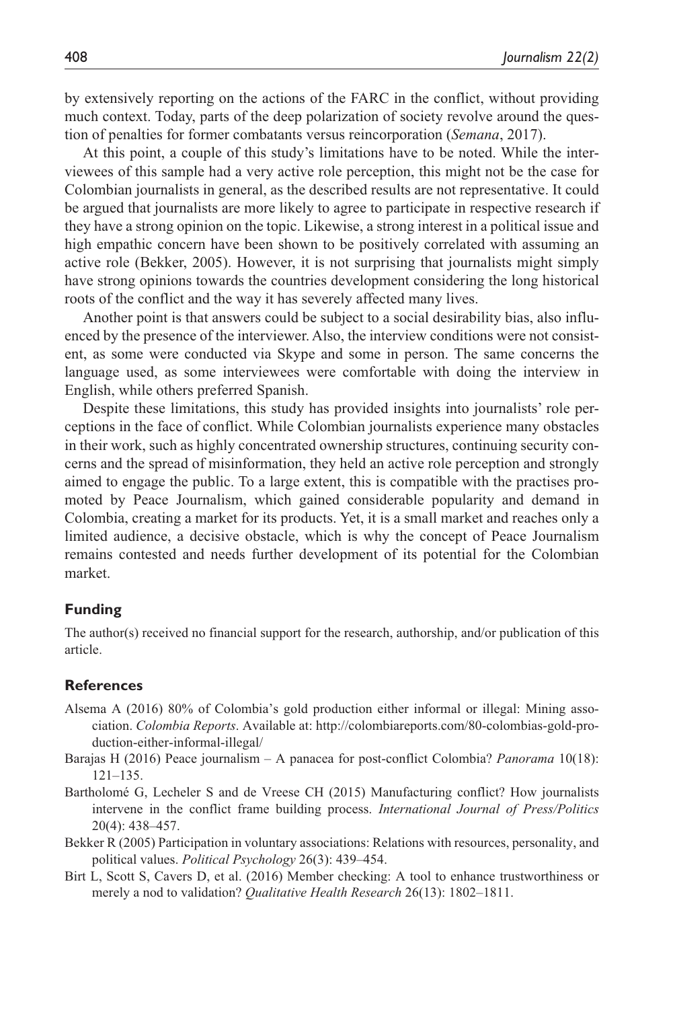by extensively reporting on the actions of the FARC in the conflict, without providing much context. Today, parts of the deep polarization of society revolve around the question of penalties for former combatants versus reincorporation (*Semana*, 2017).

At this point, a couple of this study's limitations have to be noted. While the interviewees of this sample had a very active role perception, this might not be the case for Colombian journalists in general, as the described results are not representative. It could be argued that journalists are more likely to agree to participate in respective research if they have a strong opinion on the topic. Likewise, a strong interest in a political issue and high empathic concern have been shown to be positively correlated with assuming an active role (Bekker, 2005). However, it is not surprising that journalists might simply have strong opinions towards the countries development considering the long historical roots of the conflict and the way it has severely affected many lives.

Another point is that answers could be subject to a social desirability bias, also influenced by the presence of the interviewer. Also, the interview conditions were not consistent, as some were conducted via Skype and some in person. The same concerns the language used, as some interviewees were comfortable with doing the interview in English, while others preferred Spanish.

Despite these limitations, this study has provided insights into journalists' role perceptions in the face of conflict. While Colombian journalists experience many obstacles in their work, such as highly concentrated ownership structures, continuing security concerns and the spread of misinformation, they held an active role perception and strongly aimed to engage the public. To a large extent, this is compatible with the practises promoted by Peace Journalism, which gained considerable popularity and demand in Colombia, creating a market for its products. Yet, it is a small market and reaches only a limited audience, a decisive obstacle, which is why the concept of Peace Journalism remains contested and needs further development of its potential for the Colombian market.

#### **Funding**

The author(s) received no financial support for the research, authorship, and/or publication of this article.

#### **References**

- Alsema A (2016) 80% of Colombia's gold production either informal or illegal: Mining association. *Colombia Reports*. Available at: [http://colombiareports.com/80-colombias-gold-pro](http://colombiareports.com/80-colombias-gold-production-either-informal-illegal/)[duction-either-informal-illegal/](http://colombiareports.com/80-colombias-gold-production-either-informal-illegal/)
- Barajas H (2016) Peace journalism A panacea for post-conflict Colombia? *Panorama* 10(18): 121–135.
- Bartholomé G, Lecheler S and de Vreese CH (2015) Manufacturing conflict? How journalists intervene in the conflict frame building process. *International Journal of Press/Politics* 20(4): 438–457.
- Bekker R (2005) Participation in voluntary associations: Relations with resources, personality, and political values. *Political Psychology* 26(3): 439–454.
- Birt L, Scott S, Cavers D, et al. (2016) Member checking: A tool to enhance trustworthiness or merely a nod to validation? *Qualitative Health Research* 26(13): 1802–1811.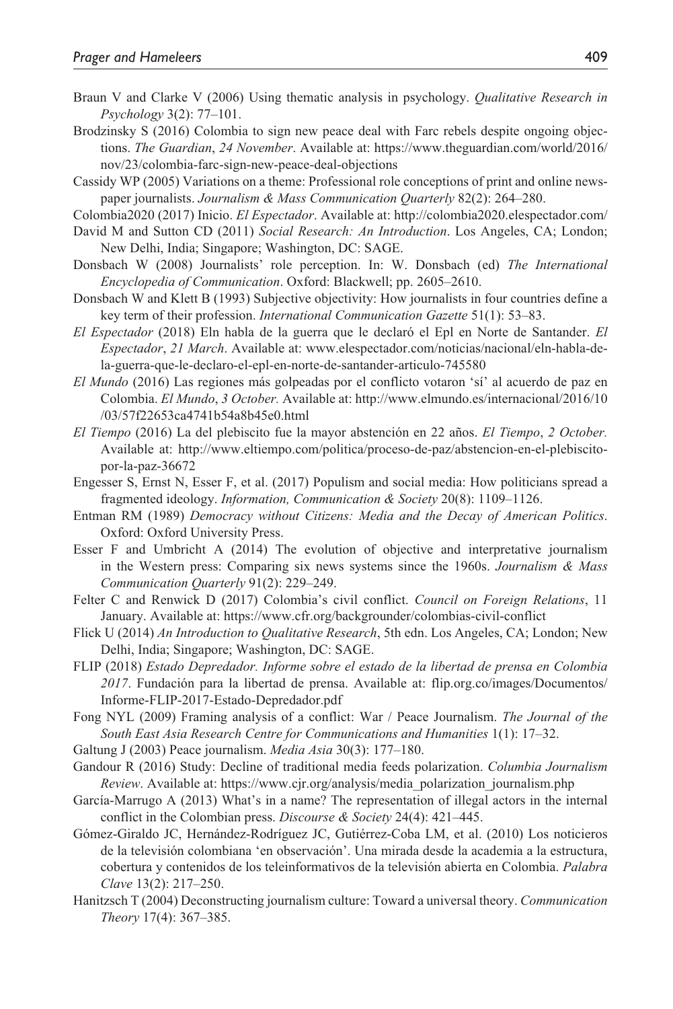- Braun V and Clarke V (2006) Using thematic analysis in psychology. *Qualitative Research in Psychology* 3(2): 77–101.
- Brodzinsky S (2016) Colombia to sign new peace deal with Farc rebels despite ongoing objections. *The Guardian*, *24 November*. Available at: [https://www.theguardian.com/world/2016/](https://www.theguardian.com/world/2016/nov/23/colombia-farc-sign-new-peace-deal-objections) [nov/23/colombia-farc-sign-new-peace-deal-objections](https://www.theguardian.com/world/2016/nov/23/colombia-farc-sign-new-peace-deal-objections)
- Cassidy WP (2005) Variations on a theme: Professional role conceptions of print and online newspaper journalists. *Journalism & Mass Communication Quarterly* 82(2): 264–280.

Colombia2020 (2017) Inicio. *El Espectador*. Available at:<http://colombia2020.elespectador.com/>

- David M and Sutton CD (2011) *Social Research: An Introduction*. Los Angeles, CA; London; New Delhi, India; Singapore; Washington, DC: SAGE.
- Donsbach W (2008) Journalists' role perception. In: W. Donsbach (ed) *The International Encyclopedia of Communication*. Oxford: Blackwell; pp. 2605–2610.
- Donsbach W and Klett B (1993) Subjective objectivity: How journalists in four countries define a key term of their profession. *International Communication Gazette* 51(1): 53–83.
- *El Espectador* (2018) Eln habla de la guerra que le declaró el Epl en Norte de Santander. *El Espectador*, *21 March*. Available at: [www.elespectador.com/noticias/nacional/eln-habla-de](www.elespectador.com/noticias/nacional/eln-habla-de-la-guerra-que-le-declaro-el-epl-en-norte-de-santander-articulo-745580)[la-guerra-que-le-declaro-el-epl-en-norte-de-santander-articulo-745580](www.elespectador.com/noticias/nacional/eln-habla-de-la-guerra-que-le-declaro-el-epl-en-norte-de-santander-articulo-745580)
- *El Mundo* (2016) Las regiones más golpeadas por el conflicto votaron 'sí' al acuerdo de paz en Colombia. *El Mundo*, *3 October.* Available at: [http://www.elmundo.es/internacional/2016/10](http://www.elmundo.es/internacional/2016/10/03/57f22653ca4741b54a8b45e0.html) [/03/57f22653ca4741b54a8b45e0.html](http://www.elmundo.es/internacional/2016/10/03/57f22653ca4741b54a8b45e0.html)
- *El Tiempo* (2016) La del plebiscito fue la mayor abstención en 22 años. *El Tiempo*, *2 October.*  Available at: [http://www.eltiempo.com/politica/proceso-de-paz/abstencion-en-el-plebiscito](http://www.eltiempo.com/politica/proceso-de-paz/abstencion-en-el-plebiscito-por-la-paz-36672)[por-la-paz-36672](http://www.eltiempo.com/politica/proceso-de-paz/abstencion-en-el-plebiscito-por-la-paz-36672)
- Engesser S, Ernst N, Esser F, et al. (2017) Populism and social media: How politicians spread a fragmented ideology. *Information, Communication & Society* 20(8): 1109–1126.
- Entman RM (1989) *Democracy without Citizens: Media and the Decay of American Politics*. Oxford: Oxford University Press.
- Esser F and Umbricht A (2014) The evolution of objective and interpretative journalism in the Western press: Comparing six news systems since the 1960s. *Journalism & Mass Communication Quarterly* 91(2): 229–249.
- Felter C and Renwick D (2017) Colombia's civil conflict. *Council on Foreign Relations*, 11 January. Available at:<https://www.cfr.org/backgrounder/colombias-civil-conflict>
- Flick U (2014) *An Introduction to Qualitative Research*, 5th edn. Los Angeles, CA; London; New Delhi, India; Singapore; Washington, DC: SAGE.
- FLIP (2018) *Estado Depredador. Informe sobre el estado de la libertad de prensa en Colombia 2017*. Fundación para la libertad de prensa. Available at: flip.org.co/images/Documentos/ Informe-FLIP-2017-Estado-Depredador.pdf
- Fong NYL (2009) Framing analysis of a conflict: War / Peace Journalism. *The Journal of the South East Asia Research Centre for Communications and Humanities* 1(1): 17–32.
- Galtung J (2003) Peace journalism. *Media Asia* 30(3): 177–180.
- Gandour R (2016) Study: Decline of traditional media feeds polarization. *Columbia Journalism Review*. Available at: [https://www.cjr.org/analysis/media\\_polarization\\_journalism.php](https://www.cjr.org/analysis/media_polarization_journalism.php)
- García-Marrugo A (2013) What's in a name? The representation of illegal actors in the internal conflict in the Colombian press. *Discourse & Society* 24(4): 421–445.
- Gómez-Giraldo JC, Hernández-Rodríguez JC, Gutiérrez-Coba LM, et al. (2010) Los noticieros de la televisión colombiana 'en observación'. Una mirada desde la academia a la estructura, cobertura y contenidos de los teleinformativos de la televisión abierta en Colombia. *Palabra Clave* 13(2): 217–250.
- Hanitzsch T (2004) Deconstructing journalism culture: Toward a universal theory. *Communication Theory* 17(4): 367–385.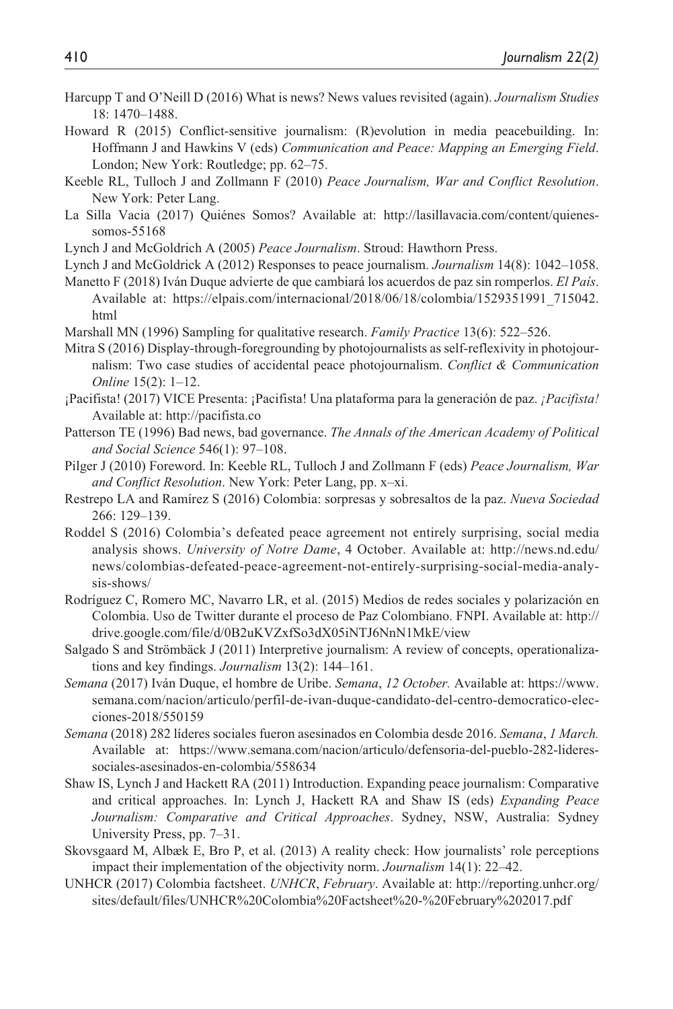- Harcupp T and O'Neill D (2016) What is news? News values revisited (again). *Journalism Studies* 18: 1470–1488.
- Howard R (2015) Conflict-sensitive journalism: (R)evolution in media peacebuilding. In: Hoffmann J and Hawkins V (eds) *Communication and Peace: Mapping an Emerging Field*. London; New York: Routledge; pp. 62–75.
- Keeble RL, Tulloch J and Zollmann F (2010) *Peace Journalism, War and Conflict Resolution*. New York: Peter Lang.
- La Silla Vacia (2017) Quiénes Somos? Available at: [http://lasillavacia.com/content/quienes](http://lasillavacia.com/content/quienes-somos-55168)[somos-55168](http://lasillavacia.com/content/quienes-somos-55168)
- Lynch J and McGoldrich A (2005) *Peace Journalism*. Stroud: Hawthorn Press.
- Lynch J and McGoldrick A (2012) Responses to peace journalism. *Journalism* 14(8): 1042–1058.
- Manetto F (2018) Iván Duque advierte de que cambiará los acuerdos de paz sin romperlos. *El País*. Available at: [https://elpais.com/internacional/2018/06/18/colombia/1529351991\\_715042.](https://elpais.com/internacional/2018/06/18/colombia/1529351991_715042.html) [html](https://elpais.com/internacional/2018/06/18/colombia/1529351991_715042.html)
- Marshall MN (1996) Sampling for qualitative research. *Family Practice* 13(6): 522–526.
- Mitra S (2016) Display-through-foregrounding by photojournalists as self-reflexivity in photojournalism: Two case studies of accidental peace photojournalism. *Conflict & Communication Online* 15(2): 1–12.
- ¡Pacifista! (2017) VICE Presenta: ¡Pacifista! Una plataforma para la generación de paz. *¡Pacifista!* Available at: http://pacifista.co
- Patterson TE (1996) Bad news, bad governance. *The Annals of the American Academy of Political and Social Science* 546(1): 97–108.
- Pilger J (2010) Foreword. In: Keeble RL, Tulloch J and Zollmann F (eds) *Peace Journalism, War and Conflict Resolution*. New York: Peter Lang, pp. x–xi.
- Restrepo LA and Ramírez S (2016) Colombia: sorpresas y sobresaltos de la paz. *Nueva Sociedad* 266: 129–139.
- Roddel S (2016) Colombia's defeated peace agreement not entirely surprising, social media analysis shows. *University of Notre Dame*, 4 October. Available at: [http://news.nd.edu/](http://news.nd.edu/news/colombias-defeated-peace-agreement-not-entirely-surprising-social-media-analysis-shows/) [news/colombias-defeated-peace-agreement-not-entirely-surprising-social-media-analy](http://news.nd.edu/news/colombias-defeated-peace-agreement-not-entirely-surprising-social-media-analysis-shows/)[sis-shows/](http://news.nd.edu/news/colombias-defeated-peace-agreement-not-entirely-surprising-social-media-analysis-shows/)
- Rodríguez C, Romero MC, Navarro LR, et al. (2015) Medios de redes sociales y polarización en Colombia. Uso de Twitter durante el proceso de Paz Colombiano. FNPI. Available at: [http://](http://drive.google.com/file/d/0B2uKVZxfSo3dX05iNTJ6NnN1MkE/view) [drive.google.com/file/d/0B2uKVZxfSo3dX05iNTJ6NnN1MkE/view](http://drive.google.com/file/d/0B2uKVZxfSo3dX05iNTJ6NnN1MkE/view)
- Salgado S and Strömbäck J (2011) Interpretive journalism: A review of concepts, operationalizations and key findings. *Journalism* 13(2): 144–161.
- *Semana* (2017) Iván Duque, el hombre de Uribe. *Semana*, *12 October.* Available at: [https://www.](https://www.semana.com/nacion/articulo/perfil-de-ivan-duque-candidato-del-centro-democratico-elecciones-2018/550159) [semana.com/nacion/articulo/perfil-de-ivan-duque-candidato-del-centro-democratico-elec](https://www.semana.com/nacion/articulo/perfil-de-ivan-duque-candidato-del-centro-democratico-elecciones-2018/550159)[ciones-2018/550159](https://www.semana.com/nacion/articulo/perfil-de-ivan-duque-candidato-del-centro-democratico-elecciones-2018/550159)
- *Semana* (2018) 282 líderes sociales fueron asesinados en Colombia desde 2016. *Semana*, *1 March.*  Available at: [https://www.semana.com/nacion/articulo/defensoria-del-pueblo-282-lideres](https://www.semana.com/nacion/articulo/defensoria-del-pueblo-282-lideres-sociales-asesinados-en-colombia/558634)[sociales-asesinados-en-colombia/558634](https://www.semana.com/nacion/articulo/defensoria-del-pueblo-282-lideres-sociales-asesinados-en-colombia/558634)
- Shaw IS, Lynch J and Hackett RA (2011) Introduction. Expanding peace journalism: Comparative and critical approaches. In: Lynch J, Hackett RA and Shaw IS (eds) *Expanding Peace Journalism: Comparative and Critical Approaches*. Sydney, NSW, Australia: Sydney University Press, pp. 7–31.
- Skovsgaard M, Albæk E, Bro P, et al. (2013) A reality check: How journalists' role perceptions impact their implementation of the objectivity norm. *Journalism* 14(1): 22–42.
- UNHCR (2017) Colombia factsheet. *UNHCR*, *February*. Available at: [http://reporting.unhcr.org/](http://reporting.unhcr.org/sites/default/files/UNHCR%20Colombia%20Factsheet%20-%20February%202017.pdf) [sites/default/files/UNHCR%20Colombia%20Factsheet%20-%20February%202017.pdf](http://reporting.unhcr.org/sites/default/files/UNHCR%20Colombia%20Factsheet%20-%20February%202017.pdf)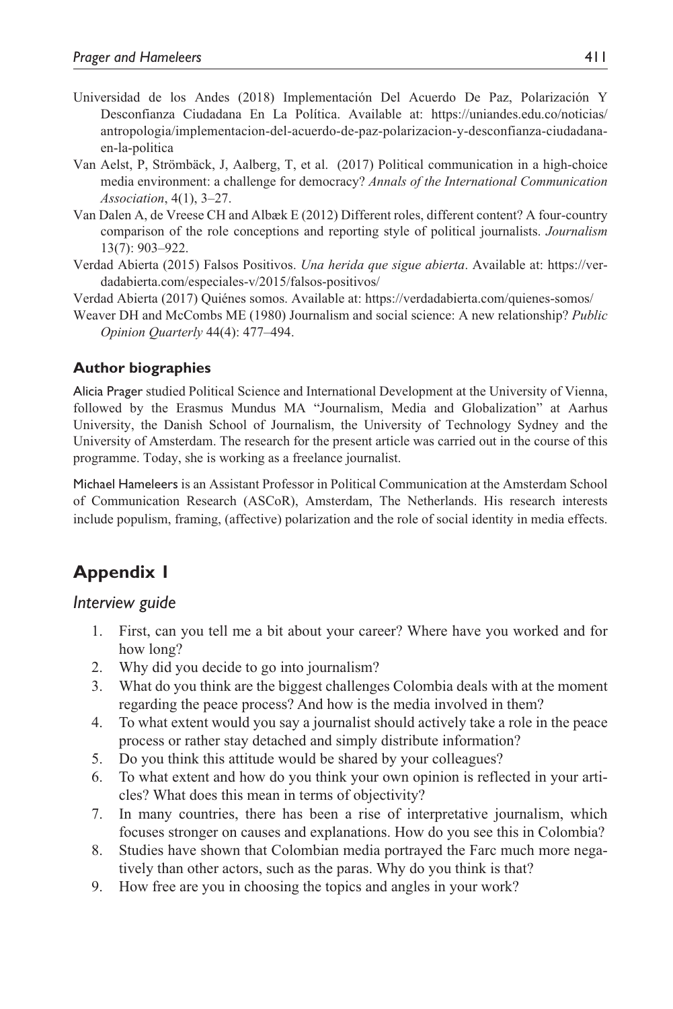- Universidad de los Andes (2018) Implementación Del Acuerdo De Paz, Polarización Y Desconfianza Ciudadana En La Política. Available at: [https://uniandes.edu.co/noticias/](https://uniandes.edu.co/noticias/antropologia/implementacion-del-acuerdo-de-paz-polarizacion-y-desconfianza-ciudadana-en-la-politica) [antropologia/implementacion-del-acuerdo-de-paz-polarizacion-y-desconfianza-ciudadana](https://uniandes.edu.co/noticias/antropologia/implementacion-del-acuerdo-de-paz-polarizacion-y-desconfianza-ciudadana-en-la-politica)[en-la-politica](https://uniandes.edu.co/noticias/antropologia/implementacion-del-acuerdo-de-paz-polarizacion-y-desconfianza-ciudadana-en-la-politica)
- Van Aelst, P, Strömbäck, J, Aalberg, T, et al. (2017) Political communication in a high-choice media environment: a challenge for democracy? *Annals of the International Communication Association*, 4(1), 3–27.
- Van Dalen A, de Vreese CH and Albæk E (2012) Different roles, different content? A four-country comparison of the role conceptions and reporting style of political journalists. *Journalism* 13(7): 903–922.
- Verdad Abierta (2015) Falsos Positivos. *Una herida que sigue abierta*. Available at: [https://ver](https://verdadabierta.com/especiales-v/2015/falsos-positivos/)[dadabierta.com/especiales-v/2015/falsos-positivos/](https://verdadabierta.com/especiales-v/2015/falsos-positivos/)

Verdad Abierta (2017) Quiénes somos. Available at:<https://verdadabierta.com/quienes-somos/>

Weaver DH and McCombs ME (1980) Journalism and social science: A new relationship? *Public Opinion Quarterly* 44(4): 477–494.

#### **Author biographies**

Alicia Prager studied Political Science and International Development at the University of Vienna, followed by the Erasmus Mundus MA "Journalism, Media and Globalization" at Aarhus University, the Danish School of Journalism, the University of Technology Sydney and the University of Amsterdam. The research for the present article was carried out in the course of this programme. Today, she is working as a freelance journalist.

Michael Hameleers is an Assistant Professor in Political Communication at the Amsterdam School of Communication Research (ASCoR), Amsterdam, The Netherlands. His research interests include populism, framing, (affective) polarization and the role of social identity in media effects.

# **Appendix 1**

#### *Interview guide*

- 1. First, can you tell me a bit about your career? Where have you worked and for how long?
- 2. Why did you decide to go into journalism?
- 3. What do you think are the biggest challenges Colombia deals with at the moment regarding the peace process? And how is the media involved in them?
- 4. To what extent would you say a journalist should actively take a role in the peace process or rather stay detached and simply distribute information?
- 5. Do you think this attitude would be shared by your colleagues?
- 6. To what extent and how do you think your own opinion is reflected in your articles? What does this mean in terms of objectivity?
- 7. In many countries, there has been a rise of interpretative journalism, which focuses stronger on causes and explanations. How do you see this in Colombia?
- 8. Studies have shown that Colombian media portrayed the Farc much more negatively than other actors, such as the paras. Why do you think is that?
- 9. How free are you in choosing the topics and angles in your work?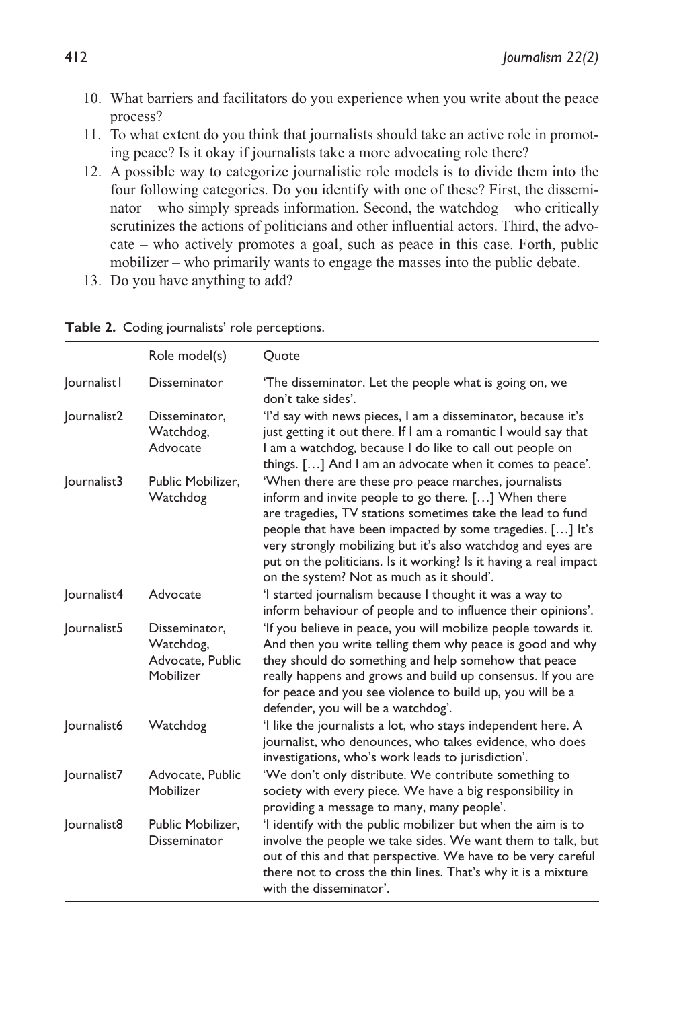- 10. What barriers and facilitators do you experience when you write about the peace process?
- 11. To what extent do you think that journalists should take an active role in promoting peace? Is it okay if journalists take a more advocating role there?
- 12. A possible way to categorize journalistic role models is to divide them into the four following categories. Do you identify with one of these? First, the disseminator – who simply spreads information. Second, the watchdog – who critically scrutinizes the actions of politicians and other influential actors. Third, the advocate – who actively promotes a goal, such as peace in this case. Forth, public mobilizer – who primarily wants to engage the masses into the public debate.
- 13. Do you have anything to add?

|              | Role model(s)                                               | Quote                                                                                                                                                                                                                                                                                                                                                                                                                    |
|--------------|-------------------------------------------------------------|--------------------------------------------------------------------------------------------------------------------------------------------------------------------------------------------------------------------------------------------------------------------------------------------------------------------------------------------------------------------------------------------------------------------------|
| Journalist l | <b>Disseminator</b>                                         | 'The disseminator. Let the people what is going on, we<br>don't take sides'.                                                                                                                                                                                                                                                                                                                                             |
| Journalist2  | Disseminator,<br>Watchdog,<br>Advocate                      | 'I'd say with news pieces, I am a disseminator, because it's<br>just getting it out there. If I am a romantic I would say that<br>I am a watchdog, because I do like to call out people on<br>things. [] And I am an advocate when it comes to peace'.                                                                                                                                                                   |
| Journalist3  | Public Mobilizer,<br>Watchdog                               | 'When there are these pro peace marches, journalists<br>inform and invite people to go there. [] When there<br>are tragedies, TV stations sometimes take the lead to fund<br>people that have been impacted by some tragedies. [] It's<br>very strongly mobilizing but it's also watchdog and eyes are<br>put on the politicians. Is it working? Is it having a real impact<br>on the system? Not as much as it should'. |
| Journalist4  | Advocate                                                    | 'I started journalism because I thought it was a way to<br>inform behaviour of people and to influence their opinions'.                                                                                                                                                                                                                                                                                                  |
| Journalist5  | Disseminator.<br>Watchdog,<br>Advocate, Public<br>Mobilizer | 'If you believe in peace, you will mobilize people towards it.<br>And then you write telling them why peace is good and why<br>they should do something and help somehow that peace<br>really happens and grows and build up consensus. If you are<br>for peace and you see violence to build up, you will be a<br>defender, you will be a watchdog'.                                                                    |
| Journalist6  | Watchdog                                                    | 'I like the journalists a lot, who stays independent here. A<br>journalist, who denounces, who takes evidence, who does<br>investigations, who's work leads to jurisdiction'.                                                                                                                                                                                                                                            |
| Journalist7  | Advocate, Public<br>Mobilizer                               | 'We don't only distribute. We contribute something to<br>society with every piece. We have a big responsibility in<br>providing a message to many, many people'.                                                                                                                                                                                                                                                         |
| Journalist8  | Public Mobilizer.<br><b>Disseminator</b>                    | 'I identify with the public mobilizer but when the aim is to<br>involve the people we take sides. We want them to talk, but<br>out of this and that perspective. We have to be very careful<br>there not to cross the thin lines. That's why it is a mixture<br>with the disseminator'.                                                                                                                                  |

**Table 2.** Coding journalists' role perceptions.